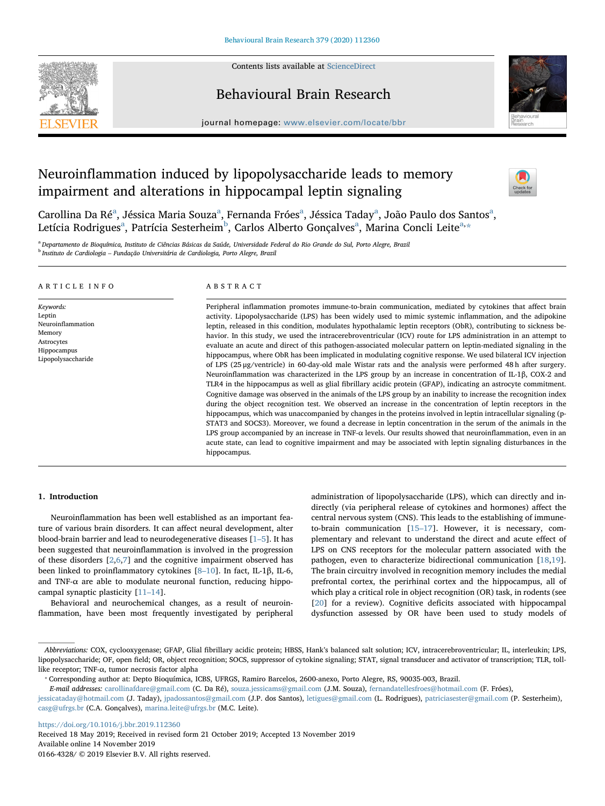

Contents lists available at [ScienceDirect](http://www.sciencedirect.com/science/journal/01664328)

## Behavioural Brain Research



 $j<sub>i</sub>$ , where  $i<sub>i</sub>$  is equal to the complete  $b<sub>i</sub>$ 

# Neuroinflammation induced by lipopolysaccharide leads to memory impairment and alterations in hippocampal leptin signaling



C[a](#page-0-0)rollina Da Ré<sup>a</sup>, Jéssica Maria Souza<sup>a</sup>, Fernanda Fróes<sup>a</sup>, Jéssica Taday<sup>a</sup>, João Paulo dos Santos<sup>a</sup>, Letíci[a](#page-0-0) Rodrigues<sup>a</sup>, Patrícia Sesterheim<sup>[b](#page-0-1)</sup>, Carlos Alberto Gonçalves<sup>a</sup>, Marina Concli Leite<sup>[a,](#page-0-0)</sup>[\\*](#page-0-2)

<span id="page-0-1"></span><span id="page-0-0"></span><sup>a</sup> Departamento de Bioquímica, Instituto de Ciências Básicas da Saúde, Universidade Federal do Rio Grande do Sul, Porto Alegre, Brazil <sup>b</sup> Instituto de Cardiologia – Fundação Universitária de Cardiologia, Porto Alegre, Brazil

## ARTICLE INFO

Keywords: Leptin Neuroinflammation Memory Astrocytes Hippocampus Lipopolysaccharide

## ABSTRACT

Peripheral inflammation promotes immune-to-brain communication, mediated by cytokines that affect brain activity. Lipopolysaccharide (LPS) has been widely used to mimic systemic inflammation, and the adipokine leptin, released in this condition, modulates hypothalamic leptin receptors (ObR), contributing to sickness behavior. In this study, we used the intracerebroventricular (ICV) route for LPS administration in an attempt to evaluate an acute and direct of this pathogen-associated molecular pattern on leptin-mediated signaling in the hippocampus, where ObR has been implicated in modulating cognitive response. We used bilateral ICV injection of LPS (25 μg/ventricle) in 60-day-old male Wistar rats and the analysis were performed 48 h after surgery. Neuroinflammation was characterized in the LPS group by an increase in concentration of IL-1β, COX-2 and TLR4 in the hippocampus as well as glial fibrillary acidic protein (GFAP), indicating an astrocyte commitment. Cognitive damage was observed in the animals of the LPS group by an inability to increase the recognition index during the object recognition test. We observed an increase in the concentration of leptin receptors in the hippocampus, which was unaccompanied by changes in the proteins involved in leptin intracellular signaling (p-STAT3 and SOCS3). Moreover, we found a decrease in leptin concentration in the serum of the animals in the LPS group accompanied by an increase in TNF- $\alpha$  levels. Our results showed that neuroinflammation, even in an acute state, can lead to cognitive impairment and may be associated with leptin signaling disturbances in the hippocampus.

## 1. Introduction

Neuroinflammation has been well established as an important feature of various brain disorders. It can affect neural development, alter blood-brain barrier and lead to neurodegenerative diseases  $[1–5]$  $[1–5]$ . It has been suggested that neuroinflammation is involved in the progression of these disorders [[2](#page-6-1)[,6,](#page-6-2)[7\]](#page-6-3) and the cognitive impairment observed has been linked to proinflammatory cytokines [8–[10\]](#page-6-4). In fact, IL-1β, IL-6, and TNF- $\alpha$  are able to modulate neuronal function, reducing hippocampal synaptic plasticity [11–[14\]](#page-6-5).

Behavioral and neurochemical changes, as a result of neuroinflammation, have been most frequently investigated by peripheral

administration of lipopolysaccharide (LPS), which can directly and indirectly (via peripheral release of cytokines and hormones) affect the central nervous system (CNS). This leads to the establishing of immuneto-brain communication [\[15](#page-6-6)–17]. However, it is necessary, complementary and relevant to understand the direct and acute effect of LPS on CNS receptors for the molecular pattern associated with the pathogen, even to characterize bidirectional communication [[18,](#page-6-7)[19](#page-6-8)]. The brain circuitry involved in recognition memory includes the medial prefrontal cortex, the perirhinal cortex and the hippocampus, all of which play a critical role in object recognition (OR) task, in rodents (see [[20\]](#page-6-9) for a review). Cognitive deficits associated with hippocampal dysfunction assessed by OR have been used to study models of

<https://doi.org/10.1016/j.bbr.2019.112360>

Received 18 May 2019; Received in revised form 21 October 2019; Accepted 13 November 2019 Available online 14 November 2019 0166-4328/ © 2019 Elsevier B.V. All rights reserved.

Abbreviations: COX, cyclooxygenase; GFAP, Glial fibrillary acidic protein; HBSS, Hank's balanced salt solution; ICV, intracerebroventricular; IL, interleukin; LPS, lipopolysaccharide; OF, open field; OR, object recognition; SOCS, suppressor of cytokine signaling; STAT, signal transducer and activator of transcription; TLR, tolllike receptor; TNF-α, tumor necrosis factor alpha<br>
\* Corresponding author at: Depto Bioquímica, ICBS, UFRGS, Ramiro Barcelos, 2600-anexo, Porto Alegre, RS, 90035-003, Brazil.

<span id="page-0-2"></span>

E-mail addresses: [carollinafdare@gmail.com](mailto:carollinafdare@gmail.com) (C. Da Ré), [souza.jessicams@gmail.com](mailto:souza.jessicams@gmail.com) (J.M. Souza), [fernandatellesfroes@hotmail.com](mailto:fernandatellesfroes@hotmail.com) (F. Fróes),

[jessicataday@hotmail.com](mailto:jessicataday@hotmail.com) (J. Taday), [jpadossantos@gmail.com](mailto:jpadossantos@gmail.com) (J.P. dos Santos), [letigues@gmail.com](mailto:letigues@gmail.com) (L. Rodrigues), [patriciasester@gmail.com](mailto:patriciasester@gmail.com) (P. Sesterheim), [casg@ufrgs.br](mailto:casg@ufrgs.br) (C.A. Gonçalves), [marina.leite@ufrgs.br](mailto:marina.leite@ufrgs.br) (M.C. Leite).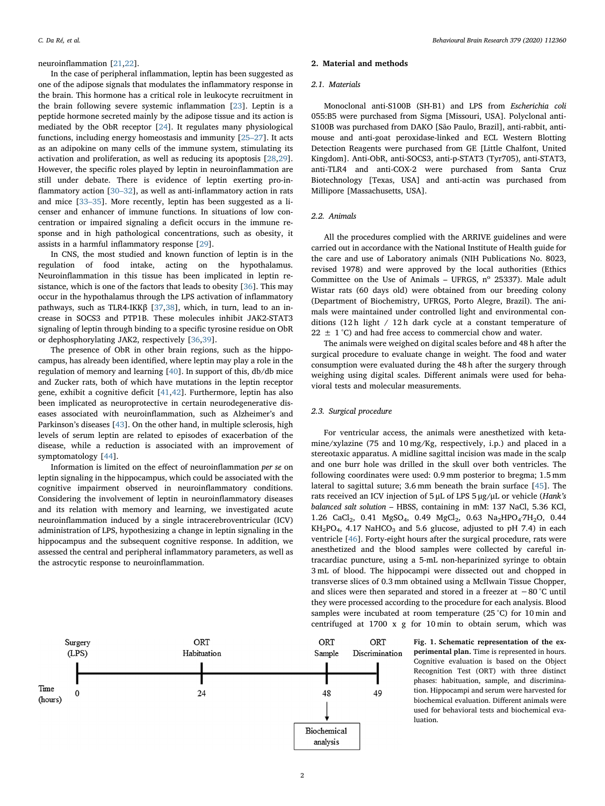#### neuroinflammation [[21,](#page-6-10)[22\]](#page-6-11).

In the case of peripheral inflammation, leptin has been suggested as one of the adipose signals that modulates the inflammatory response in the brain. This hormone has a critical role in leukocyte recruitment in the brain following severe systemic inflammation [\[23](#page-6-12)]. Leptin is a peptide hormone secreted mainly by the adipose tissue and its action is mediated by the ObR receptor [\[24](#page-6-13)]. It regulates many physiological functions, including energy homeostasis and immunity [\[25](#page-6-14)–27]. It acts as an adipokine on many cells of the immune system, stimulating its activation and proliferation, as well as reducing its apoptosis [[28,](#page-6-15)[29](#page-6-16)]. However, the specific roles played by leptin in neuroinflammation are still under debate. There is evidence of leptin exerting pro-inflammatory action [30–[32\]](#page-6-17), as well as anti-inflammatory action in rats and mice [33–[35\]](#page-6-18). More recently, leptin has been suggested as a licenser and enhancer of immune functions. In situations of low concentration or impaired signaling a deficit occurs in the immune response and in high pathological concentrations, such as obesity, it assists in a harmful inflammatory response [\[29](#page-6-16)].

In CNS, the most studied and known function of leptin is in the regulation of food intake, acting on the hypothalamus. Neuroinflammation in this tissue has been implicated in leptin resistance, which is one of the factors that leads to obesity [[36\]](#page-6-19). This may occur in the hypothalamus through the LPS activation of inflammatory pathways, such as TLR4-IKK $\beta$  [[37,](#page-7-0)[38](#page-7-1)], which, in turn, lead to an increase in SOCS3 and PTP1B. These molecules inhibit JAK2-STAT3 signaling of leptin through binding to a specific tyrosine residue on ObR or dephosphorylating JAK2, respectively [\[36](#page-6-19)[,39](#page-7-2)].

The presence of ObR in other brain regions, such as the hippocampus, has already been identified, where leptin may play a role in the regulation of memory and learning [\[40](#page-7-3)]. In support of this, db/db mice and Zucker rats, both of which have mutations in the leptin receptor gene, exhibit a cognitive deficit [\[41](#page-7-4)[,42](#page-7-5)]. Furthermore, leptin has also been implicated as neuroprotective in certain neurodegenerative diseases associated with neuroinflammation, such as Alzheimer's and Parkinson's diseases [[43\]](#page-7-6). On the other hand, in multiple sclerosis, high levels of serum leptin are related to episodes of exacerbation of the disease, while a reduction is associated with an improvement of symptomatology [\[44](#page-7-7)].

Information is limited on the effect of neuroinflammation per se on leptin signaling in the hippocampus, which could be associated with the cognitive impairment observed in neuroinflammatory conditions. Considering the involvement of leptin in neuroinflammatory diseases and its relation with memory and learning, we investigated acute neuroinflammation induced by a single intracerebroventricular (ICV) administration of LPS, hypothesizing a change in leptin signaling in the hippocampus and the subsequent cognitive response. In addition, we assessed the central and peripheral inflammatory parameters, as well as the astrocytic response to neuroinflammation.

## 2. Material and methods

## 2.1 Materials

Monoclonal anti-S100B (SH-B1) and LPS from Escherichia coli 055:B5 were purchased from Sigma [Missouri, USA]. Polyclonal anti-S100B was purchased from DAKO [São Paulo, Brazil], anti-rabbit, antimouse and anti-goat peroxidase-linked and ECL Western Blotting Detection Reagents were purchased from GE [Little Chalfont, United Kingdom]. Anti-ObR, anti-SOCS3, anti-p-STAT3 (Tyr705), anti-STAT3, anti-TLR4 and anti-COX-2 were purchased from Santa Cruz Biotechnology [Texas, USA] and anti-actin was purchased from Millipore [Massachusetts, USA].

#### 2.2. Animals

All the procedures complied with the ARRIVE guidelines and were carried out in accordance with the National Institute of Health guide for the care and use of Laboratory animals (NIH Publications No. 8023, revised 1978) and were approved by the local authorities (Ethics Committee on the Use of Animals – UFRGS,  $n^{\circ}$  25337). Male adult Wistar rats (60 days old) were obtained from our breeding colony (Department of Biochemistry, UFRGS, Porto Alegre, Brazil). The animals were maintained under controlled light and environmental conditions (12 h light / 12 h dark cycle at a constant temperature of  $22 \pm 1$  °C) and had free access to commercial chow and water.

The animals were weighed on digital scales before and 48 h after the surgical procedure to evaluate change in weight. The food and water consumption were evaluated during the 48 h after the surgery through weighing using digital scales. Different animals were used for behavioral tests and molecular measurements.

## 2.3. Surgical procedure

For ventricular access, the animals were anesthetized with ketamine/xylazine (75 and 10 mg/Kg, respectively, i.p.) and placed in a stereotaxic apparatus. A midline sagittal incision was made in the scalp and one burr hole was drilled in the skull over both ventricles. The following coordinates were used: 0.9 mm posterior to bregma; 1.5 mm lateral to sagittal suture; 3.6 mm beneath the brain surface [[45\]](#page-7-8). The rats received an ICV injection of 5 μL of LPS 5 μg/μL or vehicle (Hank's balanced salt solution – HBSS, containing in mM: 137 NaCl, 5.36 KCl, 1.26 CaCl<sub>2</sub>, 0.41 MgSO<sub>4</sub>, 0.49 MgCl<sub>2</sub>, 0.63 Na<sub>2</sub>HPO<sub>4</sub>·7H<sub>2</sub>O, 0.44  $KH<sub>2</sub>PO<sub>4</sub>$ , 4.17 NaHCO<sub>3</sub> and 5.6 glucose, adjusted to pH 7.4) in each ventricle [\[46](#page-7-9)]. Forty-eight hours after the surgical procedure, rats were anesthetized and the blood samples were collected by careful intracardiac puncture, using a 5-mL non-heparinized syringe to obtain 3 mL of blood. The hippocampi were dissected out and chopped in transverse slices of 0.3 mm obtained using a McIlwain Tissue Chopper, and slices were then separated and stored in a freezer at −80 °C until they were processed according to the procedure for each analysis. Blood samples were incubated at room temperature (25 °C) for 10 min and centrifuged at 1700 x g for 10 min to obtain serum, which was

<span id="page-1-0"></span>

Fig. 1. Schematic representation of the experimental plan. Time is represented in hours. Cognitive evaluation is based on the Object Recognition Test (ORT) with three distinct phases: habituation, sample, and discrimination. Hippocampi and serum were harvested for biochemical evaluation. Different animals were used for behavioral tests and biochemical evaluation.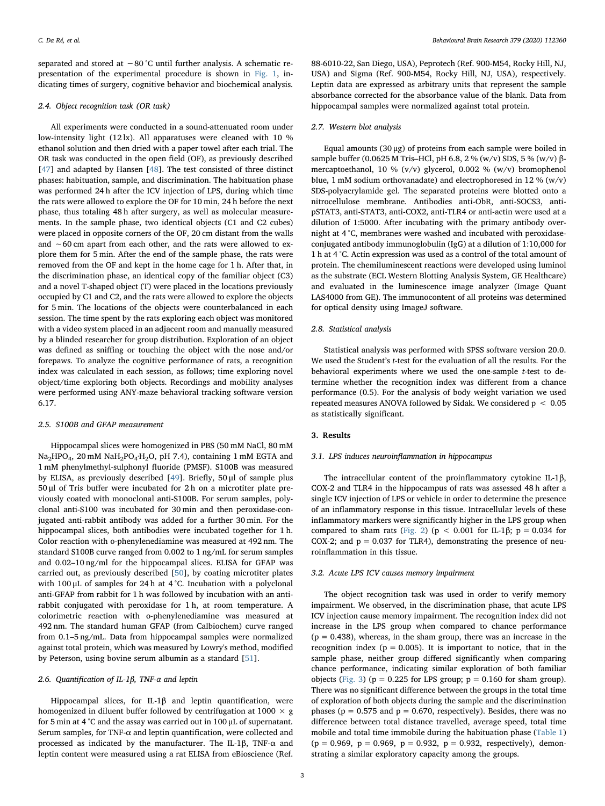separated and stored at −80 °C until further analysis. A schematic representation of the experimental procedure is shown in [Fig. 1,](#page-1-0) indicating times of surgery, cognitive behavior and biochemical analysis.

#### 2.4. Object recognition task (OR task)

All experiments were conducted in a sound-attenuated room under low-intensity light (12 lx). All apparatuses were cleaned with 10 % ethanol solution and then dried with a paper towel after each trial. The OR task was conducted in the open field (OF), as previously described [[47\]](#page-7-10) and adapted by Hansen [\[48](#page-7-11)]. The test consisted of three distinct phases: habituation, sample, and discrimination. The habituation phase was performed 24 h after the ICV injection of LPS, during which time the rats were allowed to explore the OF for 10 min, 24 h before the next phase, thus totaling 48 h after surgery, as well as molecular measurements. In the sample phase, two identical objects (C1 and C2 cubes) were placed in opposite corners of the OF, 20 cm distant from the walls and ∼60 cm apart from each other, and the rats were allowed to explore them for 5 min. After the end of the sample phase, the rats were removed from the OF and kept in the home cage for 1 h. After that, in the discrimination phase, an identical copy of the familiar object (C3) and a novel T-shaped object (T) were placed in the locations previously occupied by C1 and C2, and the rats were allowed to explore the objects for 5 min. The locations of the objects were counterbalanced in each session. The time spent by the rats exploring each object was monitored with a video system placed in an adjacent room and manually measured by a blinded researcher for group distribution. Exploration of an object was defined as sniffing or touching the object with the nose and/or forepaws. To analyze the cognitive performance of rats, a recognition index was calculated in each session, as follows; time exploring novel object/time exploring both objects. Recordings and mobility analyses were performed using ANY-maze behavioral tracking software version 6.17.

#### 2.5. S100B and GFAP measurement

Hippocampal slices were homogenized in PBS (50 mM NaCl, 80 mM  $Na<sub>2</sub>HPO<sub>4</sub>$ , 20 mM  $NaH<sub>2</sub>PO<sub>4</sub>·H<sub>2</sub>O$ , pH 7.4), containing 1 mM EGTA and 1 mM phenylmethyl-sulphonyl fluoride (PMSF). S100B was measured by ELISA, as previously described [[49\]](#page-7-12). Briefly, 50 μl of sample plus 50 μl of Tris buffer were incubated for 2 h on a microtiter plate previously coated with monoclonal anti-S100B. For serum samples, polyclonal anti-S100 was incubated for 30 min and then peroxidase-conjugated anti-rabbit antibody was added for a further 30 min. For the hippocampal slices, both antibodies were incubated together for 1 h. Color reaction with o-phenylenediamine was measured at 492 nm. The standard S100B curve ranged from 0.002 to 1 ng/mL for serum samples and 0.02–10 ng/ml for the hippocampal slices. ELISA for GFAP was carried out, as previously described [[50\]](#page-7-13), by coating microtiter plates with 100 μL of samples for 24 h at 4 °C. Incubation with a polyclonal anti-GFAP from rabbit for 1 h was followed by incubation with an antirabbit conjugated with peroxidase for 1 h, at room temperature. A colorimetric reaction with o-phenylenediamine was measured at 492 nm. The standard human GFAP (from Calbiochem) curve ranged from 0.1–5 ng/mL. Data from hippocampal samples were normalized against total protein, which was measured by Lowry's method, modified by Peterson, using bovine serum albumin as a standard [\[51](#page-7-14)].

## 2.6. Quantification of IL-1β, TNF-α and leptin

Hippocampal slices, for IL-1β and leptin quantification, were homogenized in diluent buffer followed by centrifugation at  $1000 \times g$ for 5 min at 4 °C and the assay was carried out in 100 μL of supernatant. Serum samples, for TNF- $\alpha$  and leptin quantification, were collected and processed as indicated by the manufacturer. The IL-1β, TNF-α and leptin content were measured using a rat ELISA from eBioscience (Ref.

88-6010-22, San Diego, USA), Peprotech (Ref. 900-M54, Rocky Hill, NJ, USA) and Sigma (Ref. 900-M54, Rocky Hill, NJ, USA), respectively. Leptin data are expressed as arbitrary units that represent the sample absorbance corrected for the absorbance value of the blank. Data from hippocampal samples were normalized against total protein.

#### 2.7. Western blot analysis

Equal amounts (30 μg) of proteins from each sample were boiled in sample buffer (0.0625 M Tris–HCl, pH 6.8, 2 % (w/v) SDS, 5 % (w/v) βmercaptoethanol, 10 % (v/v) glycerol, 0.002 % (w/v) bromophenol blue, 1 mM sodium orthovanadate) and electrophoresed in 12 %  $(w/v)$ SDS-polyacrylamide gel. The separated proteins were blotted onto a nitrocellulose membrane. Antibodies anti-ObR, anti-SOCS3, antipSTAT3, anti-STAT3, anti-COX2, anti-TLR4 or anti-actin were used at a dilution of 1:5000. After incubating with the primary antibody overnight at 4 °C, membranes were washed and incubated with peroxidaseconjugated antibody immunoglobulin (IgG) at a dilution of 1:10,000 for 1 h at 4 °C. Actin expression was used as a control of the total amount of protein. The chemiluminescent reactions were developed using luminol as the substrate (ECL Western Blotting Analysis System, GE Healthcare) and evaluated in the luminescence image analyzer (Image Quant LAS4000 from GE). The immunocontent of all proteins was determined for optical density using ImageJ software.

#### 2.8. Statistical analysis

Statistical analysis was performed with SPSS software version 20.0. We used the Student's t-test for the evaluation of all the results. For the behavioral experiments where we used the one-sample t-test to determine whether the recognition index was different from a chance performance (0.5). For the analysis of body weight variation we used repeated measures ANOVA followed by Sidak. We considered p < 0.05 as statistically significant.

## 3. Results

## 3.1. LPS induces neuroinflammation in hippocampus

The intracellular content of the proinflammatory cytokine IL-1β, COX-2 and TLR4 in the hippocampus of rats was assessed 48 h after a single ICV injection of LPS or vehicle in order to determine the presence of an inflammatory response in this tissue. Intracellular levels of these inflammatory markers were significantly higher in the LPS group when compared to sham rats [\(Fig. 2](#page-3-0)) (p < 0.001 for IL-1 $\beta$ ; p = 0.034 for COX-2; and  $p = 0.037$  for TLR4), demonstrating the presence of neuroinflammation in this tissue.

## 3.2. Acute LPS ICV causes memory impairment

The object recognition task was used in order to verify memory impairment. We observed, in the discrimination phase, that acute LPS ICV injection cause memory impairment. The recognition index did not increase in the LPS group when compared to chance performance  $(p = 0.438)$ , whereas, in the sham group, there was an increase in the recognition index ( $p = 0.005$ ). It is important to notice, that in the sample phase, neither group differed significantly when comparing chance performance, indicating similar exploration of both familiar objects ([Fig. 3](#page-3-1)) ( $p = 0.225$  for LPS group;  $p = 0.160$  for sham group). There was no significant difference between the groups in the total time of exploration of both objects during the sample and the discrimination phases ( $p = 0.575$  and  $p = 0.670$ , respectively). Besides, there was no difference between total distance travelled, average speed, total time mobile and total time immobile during the habituation phase [\(Table 1\)](#page-3-2)  $(p = 0.969, p = 0.969, p = 0.932, p = 0.932, respectively)$ , demonstrating a similar exploratory capacity among the groups.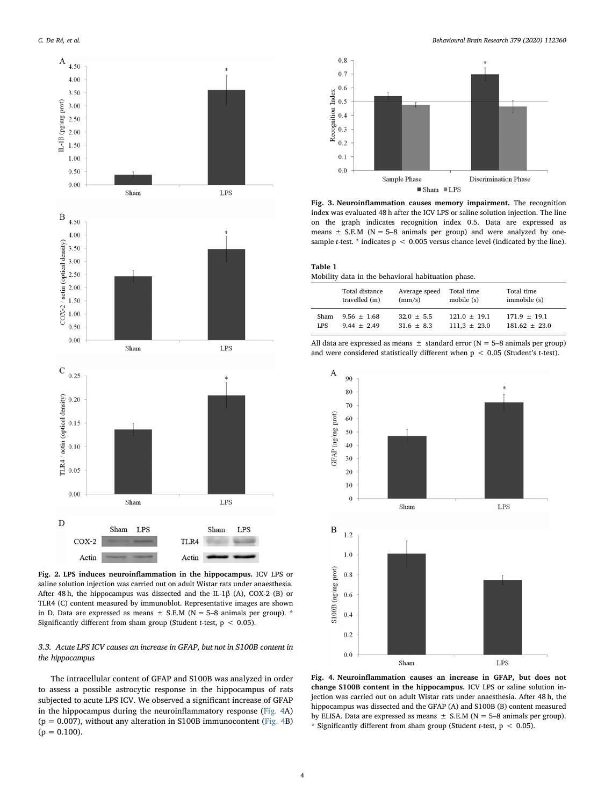<span id="page-3-0"></span>

Fig. 2. LPS induces neuroinflammation in the hippocampus. ICV LPS or saline solution injection was carried out on adult Wistar rats under anaesthesia. After 48 h, the hippocampus was dissected and the IL-1 $\beta$  (A), COX-2 (B) or TLR4 (C) content measured by immunoblot. Representative images are shown in D. Data are expressed as means  $\pm$  S.E.M (N = 5–8 animals per group). \* Significantly different from sham group (Student t-test,  $p < 0.05$ ).

## 3.3. Acute LPS ICV causes an increase in GFAP, but not in S100B content in the hippocampus

The intracellular content of GFAP and S100B was analyzed in order to assess a possible astrocytic response in the hippocampus of rats subjected to acute LPS ICV. We observed a significant increase of GFAP in the hippocampus during the neuroinflammatory response ([Fig. 4](#page-3-3)A)  $(p = 0.007)$ , without any alteration in S100B immunocontent ([Fig. 4B](#page-3-3))  $(p = 0.100)$ .

<span id="page-3-1"></span>

Fig. 3. Neuroinflammation causes memory impairment. The recognition index was evaluated 48 h after the ICV LPS or saline solution injection. The line on the graph indicates recognition index 0.5. Data are expressed as means  $\pm$  S.E.M (N = 5-8 animals per group) and were analyzed by onesample *t*-test. \* indicates  $p < 0.005$  versus chance level (indicated by the line).

<span id="page-3-2"></span>

| Table 1 |  |  |                                                    |  |
|---------|--|--|----------------------------------------------------|--|
|         |  |  | Mobility data in the behavioral habituation phase. |  |

|      | Total distance | Average speed  | Total time       | Total time      |
|------|----------------|----------------|------------------|-----------------|
|      | travelled (m)  | (mm/s)         | mobile (s)       | immobile (s)    |
| Sham | $9.56 + 1.68$  | $32.0 + 5.5$   | $121.0 + 19.1$   | $171.9 + 19.1$  |
| LPS  | $9.44 + 2.49$  | $31.6 \pm 8.3$ | $111.3 \pm 23.0$ | $181.62 + 23.0$ |

All data are expressed as means  $\pm$  standard error (N = 5–8 animals per group) and were considered statistically different when  $p < 0.05$  (Student's t-test).

<span id="page-3-3"></span>

Fig. 4. Neuroinflammation causes an increase in GFAP, but does not change S100B content in the hippocampus. ICV LPS or saline solution injection was carried out on adult Wistar rats under anaesthesia. After 48 h, the hippocampus was dissected and the GFAP (A) and S100B (B) content measured by ELISA. Data are expressed as means  $\pm$  S.E.M (N = 5–8 animals per group). \* Significantly different from sham group (Student t-test,  $p < 0.05$ ).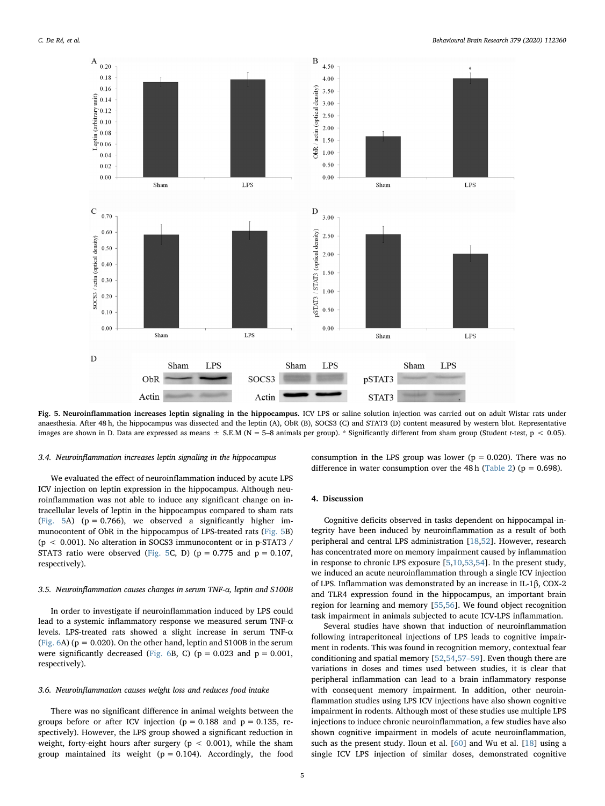<span id="page-4-0"></span>

Fig. 5. Neuroinflammation increases leptin signaling in the hippocampus. ICV LPS or saline solution injection was carried out on adult Wistar rats under anaesthesia. After 48 h, the hippocampus was dissected and the leptin (A), ObR (B), SOCS3 (C) and STAT3 (D) content measured by western blot. Representative images are shown in D. Data are expressed as means  $\pm$  S.E.M (N = 5–8 animals per group). \* Significantly different from sham group (Student t-test, p < 0.05).

## 3.4. Neuroinflammation increases leptin signaling in the hippocampus

We evaluated the effect of neuroinflammation induced by acute LPS ICV injection on leptin expression in the hippocampus. Although neuroinflammation was not able to induce any significant change on intracellular levels of leptin in the hippocampus compared to sham rats ([Fig. 5](#page-4-0)A) ( $p = 0.766$ ), we observed a significantly higher immunocontent of ObR in the hippocampus of LPS-treated rats [\(Fig. 5B](#page-4-0)) (p < 0.001). No alteration in SOCS3 immunocontent or in p-STAT3 / STAT3 ratio were observed ([Fig. 5](#page-4-0)C, D) ( $p = 0.775$  and  $p = 0.107$ , respectively).

#### 3.5. Neuroinflammation causes changes in serum TNF-α, leptin and S100B

In order to investigate if neuroinflammation induced by LPS could lead to a systemic inflammatory response we measured serum TNF-α levels. LPS-treated rats showed a slight increase in serum TNF-α (Fig.  $6A$ ) ( $p = 0.020$ ). On the other hand, leptin and S100B in the serum were significantly decreased [\(Fig. 6B](#page-5-0), C) ( $p = 0.023$  and  $p = 0.001$ , respectively).

## 3.6. Neuroinflammation causes weight loss and reduces food intake

There was no significant difference in animal weights between the groups before or after ICV injection ( $p = 0.188$  and  $p = 0.135$ , respectively). However, the LPS group showed a significant reduction in weight, forty-eight hours after surgery ( $p < 0.001$ ), while the sham group maintained its weight ( $p = 0.104$ ). Accordingly, the food consumption in the LPS group was lower ( $p = 0.020$ ). There was no difference in water consumption over the 48 h ([Table 2](#page-5-1)) ( $p = 0.698$ ).

#### 4. Discussion

Cognitive deficits observed in tasks dependent on hippocampal integrity have been induced by neuroinflammation as a result of both peripheral and central LPS administration [[18,](#page-6-7)[52\]](#page-7-15). However, research has concentrated more on memory impairment caused by inflammation in response to chronic LPS exposure [\[5,](#page-6-20)[10](#page-6-21)[,53](#page-7-16)[,54](#page-7-17)]. In the present study, we induced an acute neuroinflammation through a single ICV injection of LPS. Inflammation was demonstrated by an increase in IL-1β, COX-2 and TLR4 expression found in the hippocampus, an important brain region for learning and memory [[55](#page-7-18),[56\]](#page-7-19). We found object recognition task impairment in animals subjected to acute ICV-LPS inflammation.

Several studies have shown that induction of neuroinflammation following intraperitoneal injections of LPS leads to cognitive impairment in rodents. This was found in recognition memory, contextual fear conditioning and spatial memory [\[52](#page-7-15)[,54](#page-7-17)[,57](#page-7-20)–59]. Even though there are variations in doses and times used between studies, it is clear that peripheral inflammation can lead to a brain inflammatory response with consequent memory impairment. In addition, other neuroinflammation studies using LPS ICV injections have also shown cognitive impairment in rodents. Although most of these studies use multiple LPS injections to induce chronic neuroinflammation, a few studies have also shown cognitive impairment in models of acute neuroinflammation, such as the present study. Iloun et al. [\[60](#page-7-21)] and Wu et al. [[18\]](#page-6-7) using a single ICV LPS injection of similar doses, demonstrated cognitive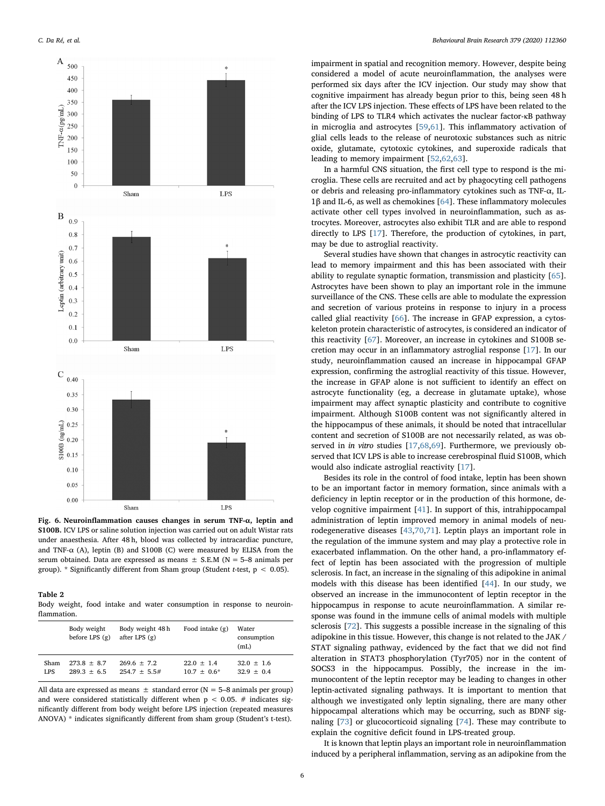<span id="page-5-0"></span>

Fig. 6. Neuroinflammation causes changes in serum TNF-α, leptin and S100B. ICV LPS or saline solution injection was carried out on adult Wistar rats under anaesthesia. After 48 h, blood was collected by intracardiac puncture, and TNF- $\alpha$  (A), leptin (B) and S100B (C) were measured by ELISA from the serum obtained. Data are expressed as means  $\pm$  S.E.M (N = 5–8 animals per group). \* Significantly different from Sham group (Student t-test,  $p < 0.05$ ).

#### <span id="page-5-1"></span>Table 2

Body weight, food intake and water consumption in response to neuroinflammation.

|            | Body weight<br>before LPS $(g)$ | Body weight 48 h<br>after LPS $(g)$ | Food intake $(g)$ | Water<br>consumption<br>(mL) |
|------------|---------------------------------|-------------------------------------|-------------------|------------------------------|
| Sham       | $273.8 + 8.7$                   | $269.6 + 7.2$                       | $22.0 \pm 1.4$    | $32.0 \pm 1.6$               |
| <b>LPS</b> | $289.3 + 6.5$                   | $254.7 + 5.5#$                      | $10.7 + 0.6*$     | $32.9 + 0.4$                 |

All data are expressed as means  $\pm$  standard error (N = 5–8 animals per group) and were considered statistically different when  $p < 0.05$ . # indicates significantly different from body weight before LPS injection (repeated measures ANOVA) \* indicates significantly different from sham group (Student's t-test).

impairment in spatial and recognition memory. However, despite being considered a model of acute neuroinflammation, the analyses were performed six days after the ICV injection. Our study may show that cognitive impairment has already begun prior to this, being seen 48 h after the ICV LPS injection. These effects of LPS have been related to the binding of LPS to TLR4 which activates the nuclear factor-κB pathway in microglia and astrocytes [[59,](#page-7-22)[61\]](#page-7-23). This inflammatory activation of glial cells leads to the release of neurotoxic substances such as nitric oxide, glutamate, cytotoxic cytokines, and superoxide radicals that leading to memory impairment [[52,](#page-7-15)[62](#page-7-24)[,63](#page-7-25)].

In a harmful CNS situation, the first cell type to respond is the microglia. These cells are recruited and act by phagocyting cell pathogens or debris and releasing pro-inflammatory cytokines such as TNF-α, IL-1β and IL-6, as well as chemokines [[64\]](#page-7-26). These inflammatory molecules activate other cell types involved in neuroinflammation, such as astrocytes. Moreover, astrocytes also exhibit TLR and are able to respond directly to LPS [\[17](#page-6-22)]. Therefore, the production of cytokines, in part, may be due to astroglial reactivity.

Several studies have shown that changes in astrocytic reactivity can lead to memory impairment and this has been associated with their ability to regulate synaptic formation, transmission and plasticity [\[65](#page-7-27)]. Astrocytes have been shown to play an important role in the immune surveillance of the CNS. These cells are able to modulate the expression and secretion of various proteins in response to injury in a process called glial reactivity [[66\]](#page-7-28). The increase in GFAP expression, a cytoskeleton protein characteristic of astrocytes, is considered an indicator of this reactivity [[67\]](#page-7-29). Moreover, an increase in cytokines and S100B secretion may occur in an inflammatory astroglial response [\[17](#page-6-22)]. In our study, neuroinflammation caused an increase in hippocampal GFAP expression, confirming the astroglial reactivity of this tissue. However, the increase in GFAP alone is not sufficient to identify an effect on astrocyte functionality (eg, a decrease in glutamate uptake), whose impairment may affect synaptic plasticity and contribute to cognitive impairment. Although S100B content was not significantly altered in the hippocampus of these animals, it should be noted that intracellular content and secretion of S100B are not necessarily related, as was observed in in vitro studies [\[17](#page-6-22),[68,](#page-7-30)[69\]](#page-7-31). Furthermore, we previously observed that ICV LPS is able to increase cerebrospinal fluid S100B, which would also indicate astroglial reactivity [[17\]](#page-6-22).

Besides its role in the control of food intake, leptin has been shown to be an important factor in memory formation, since animals with a deficiency in leptin receptor or in the production of this hormone, develop cognitive impairment [[41\]](#page-7-4). In support of this, intrahippocampal administration of leptin improved memory in animal models of neurodegenerative diseases [\[43](#page-7-6)[,70](#page-7-32),[71\]](#page-7-33). Leptin plays an important role in the regulation of the immune system and may play a protective role in exacerbated inflammation. On the other hand, a pro-inflammatory effect of leptin has been associated with the progression of multiple sclerosis. In fact, an increase in the signaling of this adipokine in animal models with this disease has been identified [[44](#page-7-7)]. In our study, we observed an increase in the immunocontent of leptin receptor in the hippocampus in response to acute neuroinflammation. A similar response was found in the immune cells of animal models with multiple sclerosis [[72\]](#page-7-34). This suggests a possible increase in the signaling of this adipokine in this tissue. However, this change is not related to the JAK / STAT signaling pathway, evidenced by the fact that we did not find alteration in STAT3 phosphorylation (Tyr705) nor in the content of SOCS3 in the hippocampus. Possibly, the increase in the immunocontent of the leptin receptor may be leading to changes in other leptin-activated signaling pathways. It is important to mention that although we investigated only leptin signaling, there are many other hippocampal alterations which may be occurring, such as BDNF signaling [\[73](#page-7-35)] or glucocorticoid signaling [\[74](#page-7-36)]. These may contribute to explain the cognitive deficit found in LPS-treated group.

It is known that leptin plays an important role in neuroinflammation induced by a peripheral inflammation, serving as an adipokine from the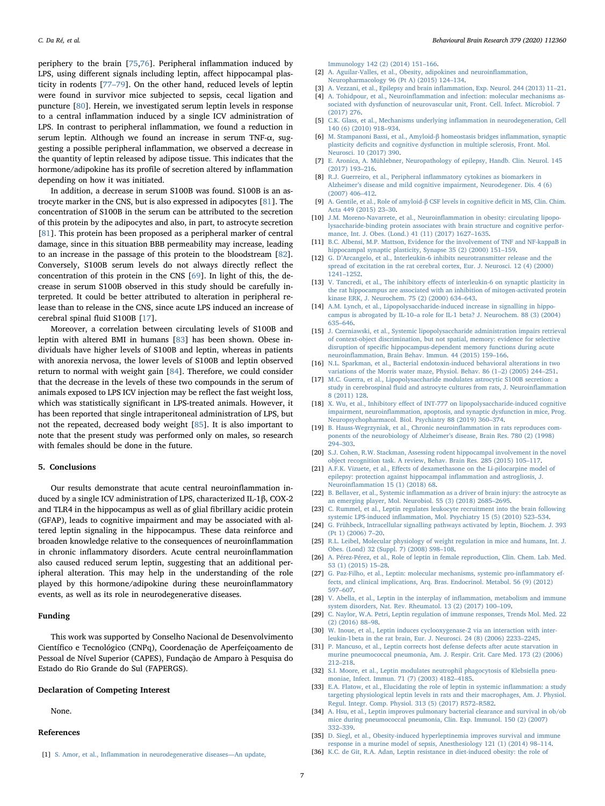periphery to the brain [\[75](#page-7-37)[,76](#page-7-38)]. Peripheral inflammation induced by LPS, using different signals including leptin, affect hippocampal plasticity in rodents [\[77](#page-7-39)–79]. On the other hand, reduced levels of leptin were found in survivor mice subjected to sepsis, cecal ligation and puncture [\[80](#page-7-40)]. Herein, we investigated serum leptin levels in response to a central inflammation induced by a single ICV administration of LPS. In contrast to peripheral inflammation, we found a reduction in serum leptin. Although we found an increase in serum TNF-α, suggesting a possible peripheral inflammation, we observed a decrease in the quantity of leptin released by adipose tissue. This indicates that the hormone/adipokine has its profile of secretion altered by inflammation depending on how it was initiated.

In addition, a decrease in serum S100B was found. S100B is an astrocyte marker in the CNS, but is also expressed in adipocytes [[81\]](#page-7-41). The concentration of S100B in the serum can be attributed to the secretion of this protein by the adipocytes and also, in part, to astrocyte secretion [[81\]](#page-7-41). This protein has been proposed as a peripheral marker of central damage, since in this situation BBB permeability may increase, leading to an increase in the passage of this protein to the bloodstream [\[82](#page-7-42)]. Conversely, S100B serum levels do not always directly reflect the concentration of this protein in the CNS [[69\]](#page-7-31). In light of this, the decrease in serum S100B observed in this study should be carefully interpreted. It could be better attributed to alteration in peripheral release than to release in the CNS, since acute LPS induced an increase of cerebral spinal fluid S100B [\[17](#page-6-22)].

Moreover, a correlation between circulating levels of S100B and leptin with altered BMI in humans [\[83](#page-7-43)] has been shown. Obese individuals have higher levels of S100B and leptin, whereas in patients with anorexia nervosa, the lower levels of S100B and leptin observed return to normal with weight gain [\[84](#page-7-44)]. Therefore, we could consider that the decrease in the levels of these two compounds in the serum of animals exposed to LPS ICV injection may be reflect the fast weight loss, which was statistically significant in LPS-treated animals. However, it has been reported that single intraperitoneal administration of LPS, but not the repeated, decreased body weight [[85](#page-7-45)]. It is also important to note that the present study was performed only on males, so research with females should be done in the future.

#### 5. Conclusions

Our results demonstrate that acute central neuroinflammation induced by a single ICV administration of LPS, characterized IL-1β, COX-2 and TLR4 in the hippocampus as well as of glial fibrillary acidic protein (GFAP), leads to cognitive impairment and may be associated with altered leptin signaling in the hippocampus. These data reinforce and broaden knowledge relative to the consequences of neuroinflammation in chronic inflammatory disorders. Acute central neuroinflammation also caused reduced serum leptin, suggesting that an additional peripheral alteration. This may help in the understanding of the role played by this hormone/adipokine during these neuroinflammatory events, as well as its role in neurodegenerative diseases.

#### Funding

This work was supported by Conselho Nacional de Desenvolvimento Científico e Tecnológico (CNPq), Coordenação de Aperfeiçoamento de Pessoal de Nível Superior (CAPES), Fundação de Amparo à Pesquisa do Estado do Rio Grande do Sul (FAPERGS).

## Declaration of Competing Interest

None.

### References

<span id="page-6-0"></span>[1] S. Amor, et al., Infl[ammation in neurodegenerative diseases](http://refhub.elsevier.com/S0166-4328(19)30776-4/sbref0005)—An update

[Immunology 142 \(2\) \(2014\) 151](http://refhub.elsevier.com/S0166-4328(19)30776-4/sbref0005)–166.

- <span id="page-6-1"></span>[2] [A. Aguilar-Valles, et al., Obesity, adipokines and neuroin](http://refhub.elsevier.com/S0166-4328(19)30776-4/sbref0010)flammation, [Neuropharmacology 96 \(Pt A\) \(2015\) 124](http://refhub.elsevier.com/S0166-4328(19)30776-4/sbref0010)–134.
- [3] [A. Vezzani, et al., Epilepsy and brain in](http://refhub.elsevier.com/S0166-4328(19)30776-4/sbref0015)flammation, Exp. Neurol. 244 (2013) 11–21.
- A. Tohidpour, et al., Neuroinfl[ammation and infection: molecular mechanisms as](http://refhub.elsevier.com/S0166-4328(19)30776-4/sbref0020)[sociated with dysfunction of neurovascular unit, Front. Cell. Infect. Microbiol. 7](http://refhub.elsevier.com/S0166-4328(19)30776-4/sbref0020) [\(2017\) 276.](http://refhub.elsevier.com/S0166-4328(19)30776-4/sbref0020)
- <span id="page-6-20"></span>[5] [C.K. Glass, et al., Mechanisms underlying in](http://refhub.elsevier.com/S0166-4328(19)30776-4/sbref0025)flammation in neurodegeneration, Cell [140 \(6\) \(2010\) 918](http://refhub.elsevier.com/S0166-4328(19)30776-4/sbref0025)–934.
- <span id="page-6-2"></span>[6] [M. Stampanoni Bassi, et al., Amyloid-](http://refhub.elsevier.com/S0166-4328(19)30776-4/sbref0030)β homeostasis bridges inflammation, synaptic plasticity defi[cits and cognitive dysfunction in multiple sclerosis, Front. Mol.](http://refhub.elsevier.com/S0166-4328(19)30776-4/sbref0030) [Neurosci. 10 \(2017\) 390.](http://refhub.elsevier.com/S0166-4328(19)30776-4/sbref0030)
- <span id="page-6-3"></span>[7] [E. Aronica, A. Mühlebner, Neuropathology of epilepsy, Handb. Clin. Neurol. 145](http://refhub.elsevier.com/S0166-4328(19)30776-4/sbref0035) [\(2017\) 193](http://refhub.elsevier.com/S0166-4328(19)30776-4/sbref0035)–216.
- <span id="page-6-4"></span>[8] R.J. Guerreiro, et al., Peripheral infl[ammatory cytokines as biomarkers in](http://refhub.elsevier.com/S0166-4328(19)30776-4/sbref0040) Alzheimer'[s disease and mild cognitive impairment, Neurodegener. Dis. 4 \(6\)](http://refhub.elsevier.com/S0166-4328(19)30776-4/sbref0040) [\(2007\) 406](http://refhub.elsevier.com/S0166-4328(19)30776-4/sbref0040)–412.
- [9] [A. Gentile, et al., Role of amyloid-](http://refhub.elsevier.com/S0166-4328(19)30776-4/sbref0045)β CSF levels in cognitive deficit in MS, Clin. Chim. [Acta 449 \(2015\) 23](http://refhub.elsevier.com/S0166-4328(19)30776-4/sbref0045)–30.
- <span id="page-6-21"></span>[10] J.M. Moreno-Navarrete, et al., Neuroinfl[ammation in obesity: circulating lipopo](http://refhub.elsevier.com/S0166-4328(19)30776-4/sbref0050)[lysaccharide-binding protein associates with brain structure and cognitive perfor](http://refhub.elsevier.com/S0166-4328(19)30776-4/sbref0050)[mance, Int. J. Obes. \(Lond.\) 41 \(11\) \(2017\) 1627](http://refhub.elsevier.com/S0166-4328(19)30776-4/sbref0050)–1635.
- <span id="page-6-5"></span>[11] [B.C. Albensi, M.P. Mattson, Evidence for the involvement of TNF and NF-kappaB in](http://refhub.elsevier.com/S0166-4328(19)30776-4/sbref0055) [hippocampal synaptic plasticity, Synapse 35 \(2\) \(2000\) 151](http://refhub.elsevier.com/S0166-4328(19)30776-4/sbref0055)–159.
- [12] G. D'[Arcangelo, et al., Interleukin-6 inhibits neurotransmitter release and the](http://refhub.elsevier.com/S0166-4328(19)30776-4/sbref0060) [spread of excitation in the rat cerebral cortex, Eur. J. Neurosci. 12 \(4\) \(2000\)](http://refhub.elsevier.com/S0166-4328(19)30776-4/sbref0060) 1241–[1252.](http://refhub.elsevier.com/S0166-4328(19)30776-4/sbref0060)
- [13] V. Tancredi, et al., The inhibitory eff[ects of interleukin-6 on synaptic plasticity in](http://refhub.elsevier.com/S0166-4328(19)30776-4/sbref0065) [the rat hippocampus are associated with an inhibition of mitogen-activated protein](http://refhub.elsevier.com/S0166-4328(19)30776-4/sbref0065) [kinase ERK, J. Neurochem. 75 \(2\) \(2000\) 634](http://refhub.elsevier.com/S0166-4328(19)30776-4/sbref0065)–643.
- [14] [A.M. Lynch, et al., Lipopolysaccharide-induced increase in signalling in hippo](http://refhub.elsevier.com/S0166-4328(19)30776-4/sbref0070)campus is abrogated by IL-10–[a role for IL-1 beta? J. Neurochem. 88 \(3\) \(2004\)](http://refhub.elsevier.com/S0166-4328(19)30776-4/sbref0070) 635–[646.](http://refhub.elsevier.com/S0166-4328(19)30776-4/sbref0070)
- <span id="page-6-6"></span>[15] [J. Czerniawski, et al., Systemic lipopolysaccharide administration impairs retrieval](http://refhub.elsevier.com/S0166-4328(19)30776-4/sbref0075) [of context-object discrimination, but not spatial, memory: evidence for selective](http://refhub.elsevier.com/S0166-4328(19)30776-4/sbref0075) disruption of specifi[c hippocampus-dependent memory functions during acute](http://refhub.elsevier.com/S0166-4328(19)30776-4/sbref0075) neuroinfl[ammation, Brain Behav. Immun. 44 \(2015\) 159](http://refhub.elsevier.com/S0166-4328(19)30776-4/sbref0075)–166.
- [16] [N.L. Sparkman, et al., Bacterial endotoxin-induced behavioral alterations in two](http://refhub.elsevier.com/S0166-4328(19)30776-4/sbref0080) [variations of the Morris water maze, Physiol. Behav. 86 \(1](http://refhub.elsevier.com/S0166-4328(19)30776-4/sbref0080)–2) (2005) 244–251.
- <span id="page-6-22"></span>[17] [M.C. Guerra, et al., Lipopolysaccharide modulates astrocytic S100B secretion: a](http://refhub.elsevier.com/S0166-4328(19)30776-4/sbref0085) study in cerebrospinal fl[uid and astrocyte cultures from rats, J. Neuroin](http://refhub.elsevier.com/S0166-4328(19)30776-4/sbref0085)flammation [8 \(2011\) 128.](http://refhub.elsevier.com/S0166-4328(19)30776-4/sbref0085)
- <span id="page-6-7"></span>[18] X. Wu, et al., Inhibitory eff[ect of INT-777 on lipopolysaccharide-induced cognitive](http://refhub.elsevier.com/S0166-4328(19)30776-4/sbref0090) impairment, neuroinfl[ammation, apoptosis, and synaptic dysfunction in mice, Prog.](http://refhub.elsevier.com/S0166-4328(19)30776-4/sbref0090) [Neuropsychopharmacol. Biol. Psychiatry 88 \(2019\) 360](http://refhub.elsevier.com/S0166-4328(19)30776-4/sbref0090)–374.
- <span id="page-6-8"></span>[19] [B. Hauss-Wegrzyniak, et al., Chronic neuroin](http://refhub.elsevier.com/S0166-4328(19)30776-4/sbref0095)flammation in rats reproduces com[ponents of the neurobiology of Alzheimer](http://refhub.elsevier.com/S0166-4328(19)30776-4/sbref0095)'s disease, Brain Res. 780 (2) (1998) 294–[303.](http://refhub.elsevier.com/S0166-4328(19)30776-4/sbref0095)
- <span id="page-6-9"></span>[20] [S.J. Cohen, R.W. Stackman, Assessing rodent hippocampal involvement in the novel](http://refhub.elsevier.com/S0166-4328(19)30776-4/sbref0100) [object recognition task. A review, Behav. Brain Res. 285 \(2015\) 105](http://refhub.elsevier.com/S0166-4328(19)30776-4/sbref0100)–117.
- <span id="page-6-10"></span>[21] A.F.K. Vizuete, et al., Eff[ects of dexamethasone on the Li-pilocarpine model of](http://refhub.elsevier.com/S0166-4328(19)30776-4/sbref0105) [epilepsy: protection against hippocampal in](http://refhub.elsevier.com/S0166-4328(19)30776-4/sbref0105)flammation and astrogliosis, J. Neuroinfl[ammation 15 \(1\) \(2018\) 68.](http://refhub.elsevier.com/S0166-4328(19)30776-4/sbref0105)
- <span id="page-6-11"></span>[22] B. Bellaver, et al., Systemic infl[ammation as a driver of brain injury: the astrocyte as](http://refhub.elsevier.com/S0166-4328(19)30776-4/sbref0110) [an emerging player, Mol. Neurobiol. 55 \(3\) \(2018\) 2685](http://refhub.elsevier.com/S0166-4328(19)30776-4/sbref0110)–2695.
- <span id="page-6-12"></span>[23] [C. Rummel, et al., Leptin regulates leukocyte recruitment into the brain following](http://refhub.elsevier.com/S0166-4328(19)30776-4/sbref0115) systemic LPS-induced infl[ammation, Mol. Psychiatry 15 \(5\) \(2010\) 523](http://refhub.elsevier.com/S0166-4328(19)30776-4/sbref0115)–534.
- <span id="page-6-13"></span>[24] G. [Frühbeck, Intracellular signalling pathways activated by leptin, Biochem. J. 393](http://refhub.elsevier.com/S0166-4328(19)30776-4/sbref0120) [\(Pt 1\) \(2006\) 7](http://refhub.elsevier.com/S0166-4328(19)30776-4/sbref0120)–20.
- <span id="page-6-14"></span>[25] [R.L. Leibel, Molecular physiology of weight regulation in mice and humans, Int. J.](http://refhub.elsevier.com/S0166-4328(19)30776-4/sbref0125) [Obes. \(Lond\) 32 \(Suppl. 7\) \(2008\) S98](http://refhub.elsevier.com/S0166-4328(19)30776-4/sbref0125)–108.
- [26] [A. Pérez-Pérez, et al., Role of leptin in female reproduction, Clin. Chem. Lab. Med.](http://refhub.elsevier.com/S0166-4328(19)30776-4/sbref0130) [53 \(1\) \(2015\) 15](http://refhub.elsevier.com/S0166-4328(19)30776-4/sbref0130)–28.
- [27] [G. Paz-Filho, et al., Leptin: molecular mechanisms, systemic pro-in](http://refhub.elsevier.com/S0166-4328(19)30776-4/sbref0135)flammatory ef[fects, and clinical implications, Arq. Bras. Endocrinol. Metabol. 56 \(9\) \(2012\)](http://refhub.elsevier.com/S0166-4328(19)30776-4/sbref0135) 597–[607.](http://refhub.elsevier.com/S0166-4328(19)30776-4/sbref0135)
- <span id="page-6-15"></span>[28] [V. Abella, et al., Leptin in the interplay of in](http://refhub.elsevier.com/S0166-4328(19)30776-4/sbref0140)flammation, metabolism and immune [system disorders, Nat. Rev. Rheumatol. 13 \(2\) \(2017\) 100](http://refhub.elsevier.com/S0166-4328(19)30776-4/sbref0140)–109.
- <span id="page-6-16"></span>[29] [C. Naylor, W.A. Petri, Leptin regulation of immune responses, Trends Mol. Med. 22](http://refhub.elsevier.com/S0166-4328(19)30776-4/sbref0145) [\(2\) \(2016\) 88](http://refhub.elsevier.com/S0166-4328(19)30776-4/sbref0145)–98.
- <span id="page-6-17"></span>[30] [W. Inoue, et al., Leptin induces cyclooxygenase-2 via an interaction with inter](http://refhub.elsevier.com/S0166-4328(19)30776-4/sbref0150)[leukin-1beta in the rat brain, Eur. J. Neurosci. 24 \(8\) \(2006\) 2233](http://refhub.elsevier.com/S0166-4328(19)30776-4/sbref0150)–2245.
- [31] [P. Mancuso, et al., Leptin corrects host defense defects after acute starvation in](http://refhub.elsevier.com/S0166-4328(19)30776-4/sbref0155) [murine pneumococcal pneumonia, Am. J. Respir. Crit. Care Med. 173 \(2\) \(2006\)](http://refhub.elsevier.com/S0166-4328(19)30776-4/sbref0155) 212–[218.](http://refhub.elsevier.com/S0166-4328(19)30776-4/sbref0155)
- [32] [S.I. Moore, et al., Leptin modulates neutrophil phagocytosis of Klebsiella pneu](http://refhub.elsevier.com/S0166-4328(19)30776-4/sbref0160)[moniae, Infect. Immun. 71 \(7\) \(2003\) 4182](http://refhub.elsevier.com/S0166-4328(19)30776-4/sbref0160)–4185.
- <span id="page-6-18"></span>[33] [E.A. Flatow, et al., Elucidating the role of leptin in systemic in](http://refhub.elsevier.com/S0166-4328(19)30776-4/sbref0165)flammation: a study [targeting physiological leptin levels in rats and their macrophages, Am. J. Physiol.](http://refhub.elsevier.com/S0166-4328(19)30776-4/sbref0165) [Regul. Integr. Comp. Physiol. 313 \(5\) \(2017\) R572](http://refhub.elsevier.com/S0166-4328(19)30776-4/sbref0165)–R582.
- [34] [A. Hsu, et al., Leptin improves pulmonary bacterial clearance and survival in ob/ob](http://refhub.elsevier.com/S0166-4328(19)30776-4/sbref0170) [mice during pneumococcal pneumonia, Clin. Exp. Immunol. 150 \(2\) \(2007\)](http://refhub.elsevier.com/S0166-4328(19)30776-4/sbref0170) 332–[339.](http://refhub.elsevier.com/S0166-4328(19)30776-4/sbref0170)
- [35] [D. Siegl, et al., Obesity-induced hyperleptinemia improves survival and immune](http://refhub.elsevier.com/S0166-4328(19)30776-4/sbref0175) [response in a murine model of sepsis, Anesthesiology 121 \(1\) \(2014\) 98](http://refhub.elsevier.com/S0166-4328(19)30776-4/sbref0175)–114.
- <span id="page-6-19"></span>[36] [K.C. de Git, R.A. Adan, Leptin resistance in diet-induced obesity: the role of](http://refhub.elsevier.com/S0166-4328(19)30776-4/sbref0180)